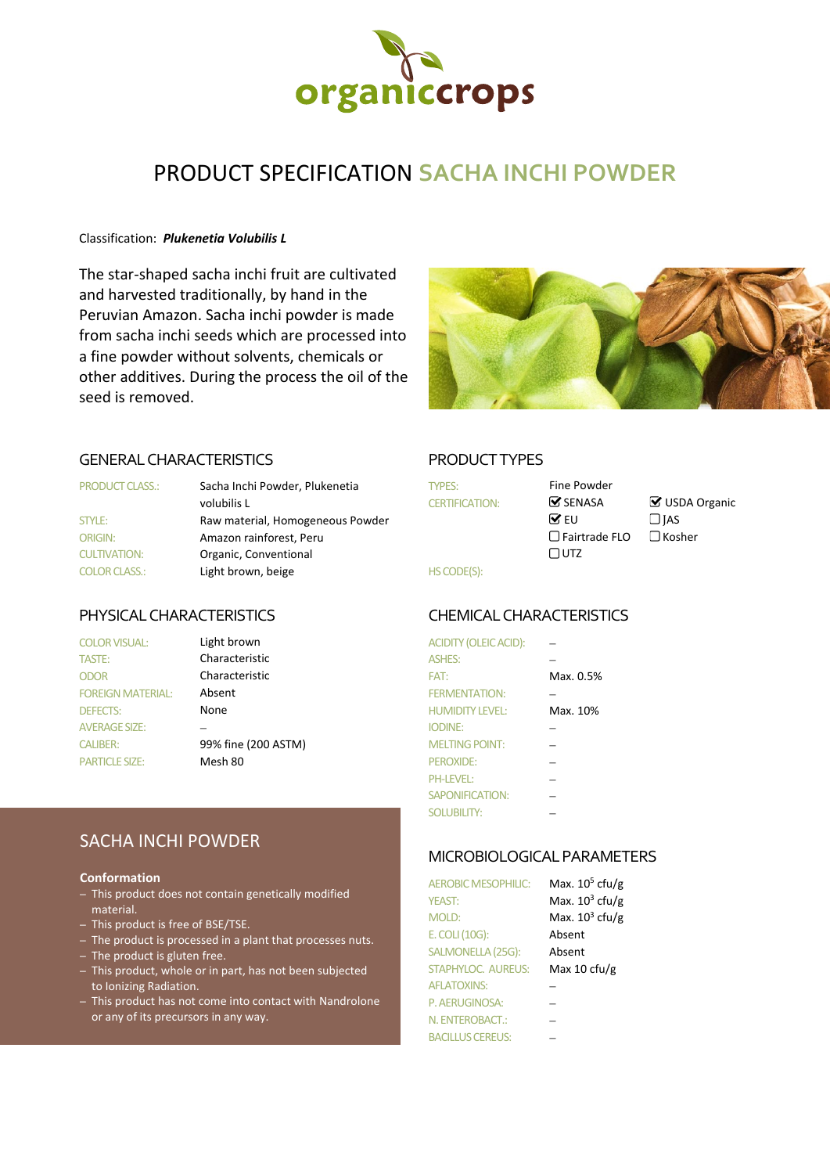

# PRODUCT SPECIFICATION **SACHA INCHI POWDER**

#### Classification: *Plukenetia Volubilis L*

The star-shaped sacha inchi fruit are cultivated and harvested traditionally, by hand in the Peruvian Amazon. Sacha inchi powder is made from sacha inchi seeds which are processed into a fine powder without solvents, chemicals or other additives. During the process the oil of the seed is removed.



## GENERAL CHARACTERISTICS PRODUCT TYPES

| <b>PRODUCT CLASS.:</b> | Sacha Inchi Powder, Plukenetia   | <b>TYPES:</b>         | Fine Powder            |       |
|------------------------|----------------------------------|-----------------------|------------------------|-------|
|                        | volubilis L                      | <b>CERTIFICATION:</b> | $\triangledown$ SENASA | MZ ∪S |
| STYLE:                 | Raw material, Homogeneous Powder |                       | $\triangledown$ FU     | ∃ IAS |
| <b>ORIGIN:</b>         | Amazon rainforest, Peru          |                       | $\Box$ Fairtrade FLO   | ∃ Kos |
| <b>CULTIVATION:</b>    | Organic, Conventional            |                       | $\Box$ utz             |       |
| <b>COLOR CLASS.:</b>   | Light brown, beige               | HS CODE(S):           |                        |       |

| <b>COLOR VISUAL:</b>     | Light brown         | <b>ACIDITY (OLEIC ACID):</b> |           |
|--------------------------|---------------------|------------------------------|-----------|
| TASTE:                   | Characteristic      | <b>ASHES:</b>                |           |
| <b>ODOR</b>              | Characteristic      | FAT:                         | Max. 0.5% |
| <b>FOREIGN MATERIAL:</b> | Absent              | <b>FERMENTATION:</b>         |           |
| <b>DEFECTS:</b>          | None                | <b>HUMIDITY LEVEL:</b>       | Max. 10%  |
| <b>AVERAGE SIZE:</b>     |                     | <b>IODINE:</b>               |           |
| <b>CALIBER:</b>          | 99% fine (200 ASTM) | <b>MELTING POINT:</b>        |           |
| <b>PARTICLE SIZE:</b>    | Mesh 80             | <b>PEROXIDE:</b>             |           |
|                          |                     |                              |           |

## SACHA INCHI POWDER

#### **Conformation**

- This product does not contain genetically modified material.
- This product is free of BSE/TSE.
- The product is processed in a plant that processes nuts.
- The product is gluten free.
- This product, whole or in part, has not been subjected to Ionizing Radiation.
- This product has not come into contact with Nandrolone or any of its precursors in any way.

| <b>TYPES:</b><br><b>CERTIFICATION:</b> |  |
|----------------------------------------|--|
|                                        |  |
|                                        |  |
| <b>HS CODE(S):</b>                     |  |

 $\Box$  SENASA  $\Box$  USDA Organic<br>  $\Box$  EU  $\Box$  IAS □Fairtrade FLO □Kosher

### PHYSICAL CHARACTERISTICS CHEMICALCHARACTERISTICS

| ACIDITY (OLEIC ACID):  |           |
|------------------------|-----------|
| <b>ASHES:</b>          |           |
| FAT:                   | Max. 0.5% |
| <b>FERMENTATION:</b>   |           |
| <b>HUMIDITY LEVEL:</b> | Max. 10%  |
| <b>IODINE:</b>         |           |
| <b>MELTING POINT:</b>  |           |
| PEROXIDE:              |           |
| <b>PH-LEVEL:</b>       |           |
| SAPONIFICATION:        |           |
| <b>SOLUBILITY:</b>     |           |

### MICROBIOLOGICAL PARAMETERS

| <b>AEROBIC MESOPHILIC:</b> | Max. $10^5$ cfu/g |
|----------------------------|-------------------|
| <b>YEAST:</b>              | Max. $10^3$ cfu/g |
| MOLD:                      | Max. $10^3$ cfu/g |
| E. COLI (10G):             | Absent            |
| SALMONELLA (25G):          | Absent            |
| <b>STAPHYLOC. AUREUS:</b>  | Max 10 cfu/g      |
| <b>AFLATOXINS:</b>         |                   |
| P. AERUGINOSA:             |                   |
| N. ENTEROBACT.:            |                   |
| <b>BACILLUS CEREUS:</b>    |                   |
|                            |                   |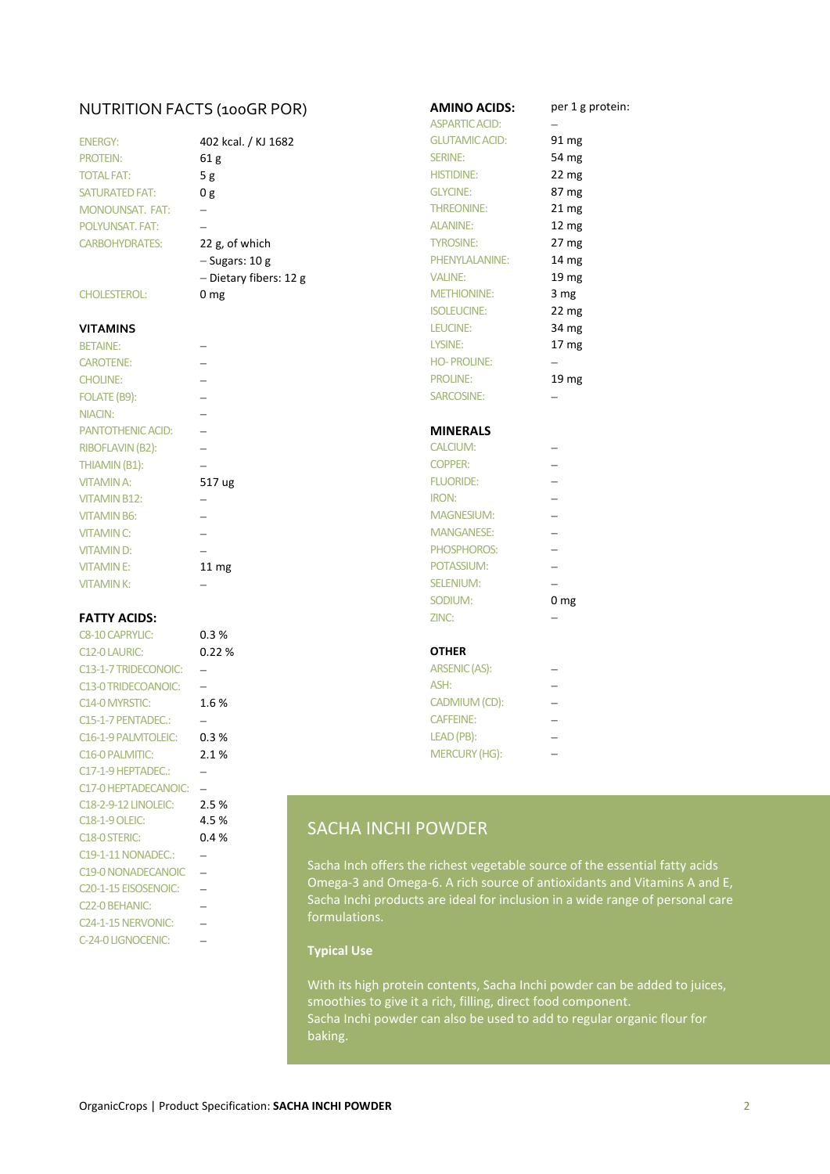## NUTRITION FACTS (100GR POR) **AMINO ACIDS:** per 1 g protein:

| <b>ENERGY:</b>         | 402 kcal. / KJ 1682    |
|------------------------|------------------------|
| <b>PROTEIN:</b>        | 61 g                   |
| <b>TOTAL FAT:</b>      | 5 g                    |
| <b>SATURATED FAT:</b>  | 0 g                    |
| <b>MONOUNSAT, FAT:</b> |                        |
| <b>POLYUNSAT, FAT:</b> |                        |
| <b>CARBOHYDRATES:</b>  | 22 g, of which         |
|                        | $-$ Sugars: 10 g       |
|                        | - Dietary fibers: 12 g |

| <b>BETAINE:</b>          |                  | LYSINE:           |
|--------------------------|------------------|-------------------|
| <b>CAROTENE:</b>         |                  | <b>HO-PROLINE</b> |
| <b>CHOLINE:</b>          |                  | <b>PROLINE:</b>   |
| FOLATE (B9):             |                  | SARCOSINE:        |
| <b>NIACIN:</b>           |                  |                   |
| <b>PANTOTHENIC ACID:</b> |                  | <b>MINERALS</b>   |
| RIBOFLAVIN (B2):         |                  | <b>CALCIUM:</b>   |
| THIAMIN (B1):            |                  | <b>COPPER:</b>    |
| <b>VITAMIN A:</b>        | 517 ug           | <b>FLUORIDE:</b>  |
| <b>VITAMIN B12:</b>      |                  | <b>IRON:</b>      |
| <b>VITAMIN B6:</b>       |                  | <b>MAGNESIUM</b>  |
| <b>VITAMIN C:</b>        |                  | <b>MANGANESE</b>  |
| <b>VITAMIND:</b>         |                  | <b>PHOSPHORO</b>  |
| <b>VITAMINE:</b>         | 11 <sub>mg</sub> | POTASSIUM:        |
| <b>VITAMINK:</b>         |                  | <b>SELENIUM:</b>  |
|                          |                  |                   |

#### **FATTY ACIDS:**

| <b>C8-10 CAPRYLIC:</b>            | 0.3%  |                                                 |                          |
|-----------------------------------|-------|-------------------------------------------------|--------------------------|
| <b>C12-0 LAURIC:</b>              | 0.22% | <b>OTHER</b>                                    |                          |
| C13-1-7 TRIDECONOIC:              |       | ARSENIC (AS):                                   |                          |
| C13-0 TRIDECOANOIC:               |       | ASH:                                            | $\overline{\phantom{0}}$ |
| C <sub>14</sub> -0 MYRSTIC:       | 1.6%  | CADMIUM (CD):                                   | $\overline{\phantom{0}}$ |
| C15-1-7 PENTADEC.:                |       | <b>CAFFEINE:</b>                                | $\overline{\phantom{0}}$ |
| C <sub>16</sub> -1-9 PALMTOLEIC:  | 0.3%  | LEAD (PB):                                      |                          |
| C16-0 PALMITIC:                   | 2.1%  | <b>MERCURY (HG):</b>                            |                          |
| C17-1-9 HEPTADEC.:                |       |                                                 |                          |
| C17-0 HEPTADECANOIC:              |       |                                                 |                          |
| <b>C18-2-9-12 LINOLEIC:</b>       | 2.5%  |                                                 |                          |
| <b>C18-1-9 OLEIC:</b>             | 4.5 % | <b>SACHA INCHI POWDER</b>                       |                          |
| C <sub>18</sub> -0 STERIC:        | 0.4%  |                                                 |                          |
| <b>C19-1-11 NONADEC.:</b>         |       |                                                 |                          |
| C19-0 NONADECANOIC                |       | Sacha Inch offers the richest vegetable sourd   |                          |
| C <sub>20</sub> -1-15 EISOSENOIC: |       | Omega-3 and Omega-6. A rich source of anti      |                          |
| C22-0 BEHANIC:                    |       | Sacha Inchi products are ideal for inclusion in |                          |
| C <sub>24</sub> -1-15 NERVONIC:   |       | formulations.                                   |                          |
| C-24-0 LIGNOCENIC:                |       | Turband Han                                     |                          |

|                            | NUTRITION FACTS (100GR POR) | <b>AMINO ACIDS:</b><br><b>ASPARTIC ACID:</b> | per 1 g          |
|----------------------------|-----------------------------|----------------------------------------------|------------------|
| <b>ENERGY:</b>             | 402 kcal. / KJ 1682         | <b>GLUTAMIC ACID:</b>                        | 91 mg            |
| <b>PROTEIN:</b>            | 61 <sub>g</sub>             | <b>SERINE:</b>                               | 54 mg            |
| <b>TOTAL FAT:</b>          | 5g                          | <b>HISTIDINE:</b>                            | 22 <sub>mg</sub> |
| <b>SATURATED FAT:</b>      | 0 <sub>g</sub>              | <b>GLYCINE:</b>                              | 87 mg            |
| <b>MONOUNSAT. FAT:</b>     |                             | THREONINE:                                   | 21 <sub>mg</sub> |
| POLYUNSAT, FAT:            |                             | <b>ALANINE:</b>                              | 12 mg            |
| <b>CARBOHYDRATES:</b>      | 22 g, of which              | <b>TYROSINE:</b>                             | 27 <sub>mg</sub> |
|                            | $-$ Sugars: 10 g            | PHENYLALANINE:                               | 14 mg            |
|                            | - Dietary fibers: 12 g      | <b>VALINE:</b>                               | 19 mg            |
| <b>CHOLESTEROL:</b>        | 0 <sub>mg</sub>             | <b>METHIONINE:</b>                           | 3 <sub>mg</sub>  |
|                            |                             | <b>ISOLEUCINE:</b>                           | 22 <sub>mg</sub> |
| VITAMINS                   |                             | LEUCINE:                                     | 34 mg            |
| <b>BETAINE:</b>            |                             | LYSINE:                                      | 17 mg            |
| <b>CAROTENE:</b>           |                             | <b>HO-PROLINE:</b>                           |                  |
| <b>CHOLINE:</b>            |                             | <b>PROLINE:</b>                              | 19 mg            |
| FOLATE (B9):               |                             | SARCOSINE:                                   |                  |
| <b>NIACIN:</b>             |                             |                                              |                  |
| PANTOTHENIC ACID:          |                             | <b>MINERALS</b>                              |                  |
| <b>RIBOFLAVIN (B2):</b>    |                             | <b>CALCIUM:</b>                              |                  |
| THIAMIN (B1):              |                             | <b>COPPER:</b>                               |                  |
| <b>VITAMIN A:</b>          | 517 ug                      | <b>FLUORIDE:</b>                             |                  |
| <b>VITAMIN B12:</b>        |                             | <b>IRON:</b>                                 |                  |
| <b>VITAMIN B6:</b>         | $\overline{\phantom{0}}$    | <b>MAGNESIUM:</b>                            |                  |
| <b>VITAMIN C:</b>          | $\qquad \qquad -$           | <b>MANGANESE:</b>                            |                  |
| <b>VITAMIND:</b>           |                             | PHOSPHOROS:                                  |                  |
| <b>VITAMINE:</b>           | 11 mg                       | POTASSIUM:                                   |                  |
| <b>VITAMINK:</b>           |                             | <b>SELENIUM:</b>                             |                  |
|                            |                             | SODIUM:                                      | 0 <sub>mg</sub>  |
| <b>FATTY ACIDS:</b>        |                             | ZINC:                                        |                  |
| <b>C8-10 CAPRYLIC:</b>     | 0.3%                        |                                              |                  |
| C12-0 LAURIC:              | 0.22%                       | <b>OTHER</b>                                 |                  |
| C13-1-7 TRIDECONOIC:       | $\overline{\phantom{m}}$    | <b>ARSENIC (AS):</b>                         |                  |
| <b>C13-0 TRIDECOANOIC:</b> | $\overline{\phantom{0}}$    | ASH:                                         |                  |
| C14-0 MYRSTIC:             | 1.6%                        | CADMIUM (CD):                                |                  |
| C15-1-7 PENTADEC.:         | $\overline{\phantom{0}}$    | <b>CAFFEINE:</b>                             |                  |
|                            |                             |                                              |                  |

## SACHA INCHI POWDER

Sacha Inch offers the richest vegetable source of the essential fatty acids Omega-3 and Omega-6. A rich source of antioxidants and Vitamins A and E, Sacha Inchi products are ideal for inclusion in a wide range of personal care

#### **Typical Use**

With its high protein contents, Sacha Inchi powder can be added to juices, smoothies to give it a rich, filling, direct food component. Sacha Inchi powder can also be used to add to regular organic flour for baking.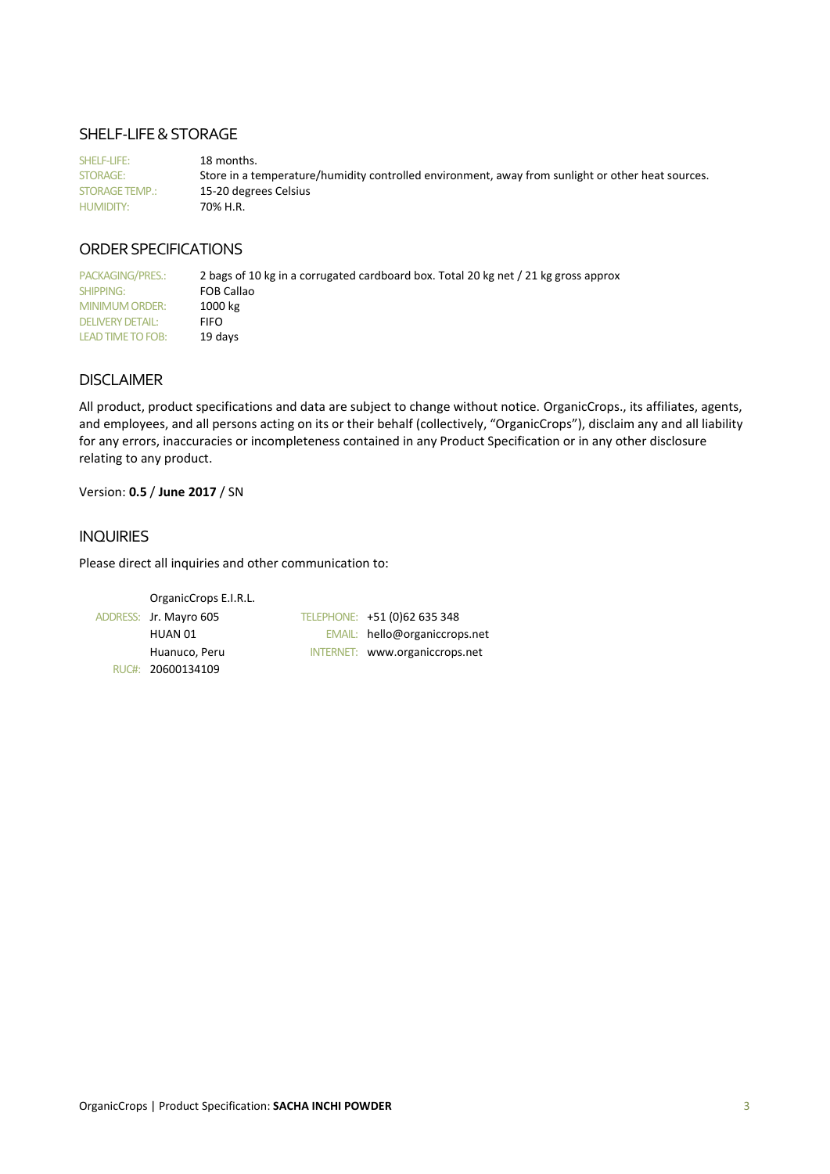### SHELF-LIFE & STORAGE

SHELF-LIFE: 18 months. STORAGE: Store in a temperature/humidity controlled environment, away from sunlight or other heat sources. STORAGE TEMP.: 15-20 degrees Celsius HUMIDITY: 70% H.R.

## ORDER SPECIFICATIONS

PACKAGING/PRES.: 2 bags of 10 kg in a corrugated cardboard box. Total 20 kg net / 21 kg gross approx SHIPPING: FOB Callao<br>
MINIMUM ORDER: 1000 kg MINIMUM ORDER: 1000<br>DELIVERY DETAIL: FIFO DELIVERY DETAIL: LEAD TIME TO FOB: 19 days

### DISCLAIMER

All product, product specifications and data are subject to change without notice. OrganicCrops., its affiliates, agents, and employees, and all persons acting on its or their behalf (collectively, "OrganicCrops"), disclaim any and all liability for any errors, inaccuracies or incompleteness contained in any Product Specification or in any other disclosure relating to any product.

Version: **0.5** / **June 2017** / SN

#### INQUIRIES

Please direct all inquiries and other communication to:

```
OrganicCrops E.I.R.L.
ADDRESS: Jr. Mayro 605 TELEPHONE: +51 (0)62 635 348
       HUAN 01 EMAIL: hello@organiccrops.net
       Huanuco, Peru INTERNET: www.organiccrops.net
  RUC#: 20600134109
```